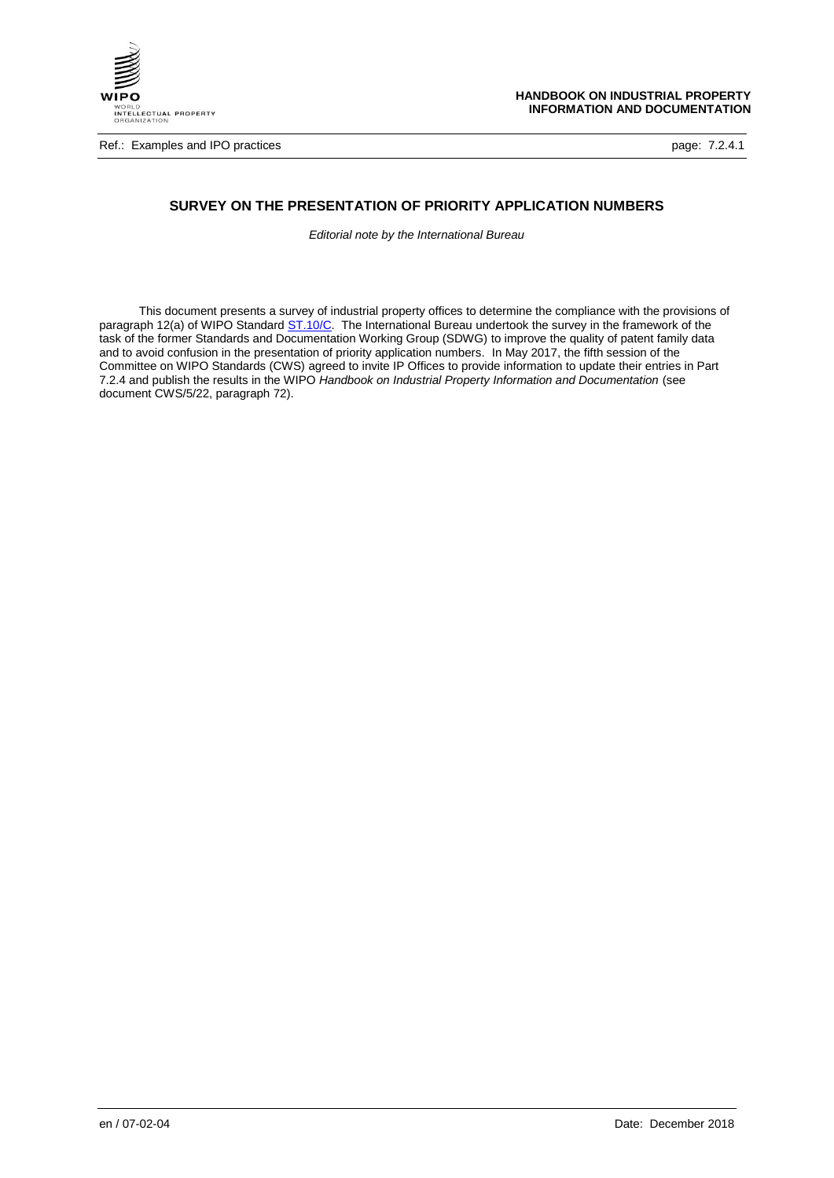

# **SURVEY ON THE PRESENTATION OF PRIORITY APPLICATION NUMBERS**

*Editorial note by the International Bureau*

This document presents a survey of industrial property offices to determine the compliance with the provisions of paragraph 12(a) of WIPO Standar[d ST.10/C.](https://www.wipo.int/export/sites/www/standards/en/pdf/03-10-c.pdf) The International Bureau undertook the survey in the framework of the task of the former Standards and Documentation Working Group (SDWG) to improve the quality of patent family data and to avoid confusion in the presentation of priority application numbers. In May 2017, the fifth session of the Committee on WIPO Standards (CWS) agreed to invite IP Offices to provide information to update their entries in Part 7.2.4 and publish the results in the WIPO *Handbook on Industrial Property Information and Documentation* (see document CWS/5/22, paragraph 72).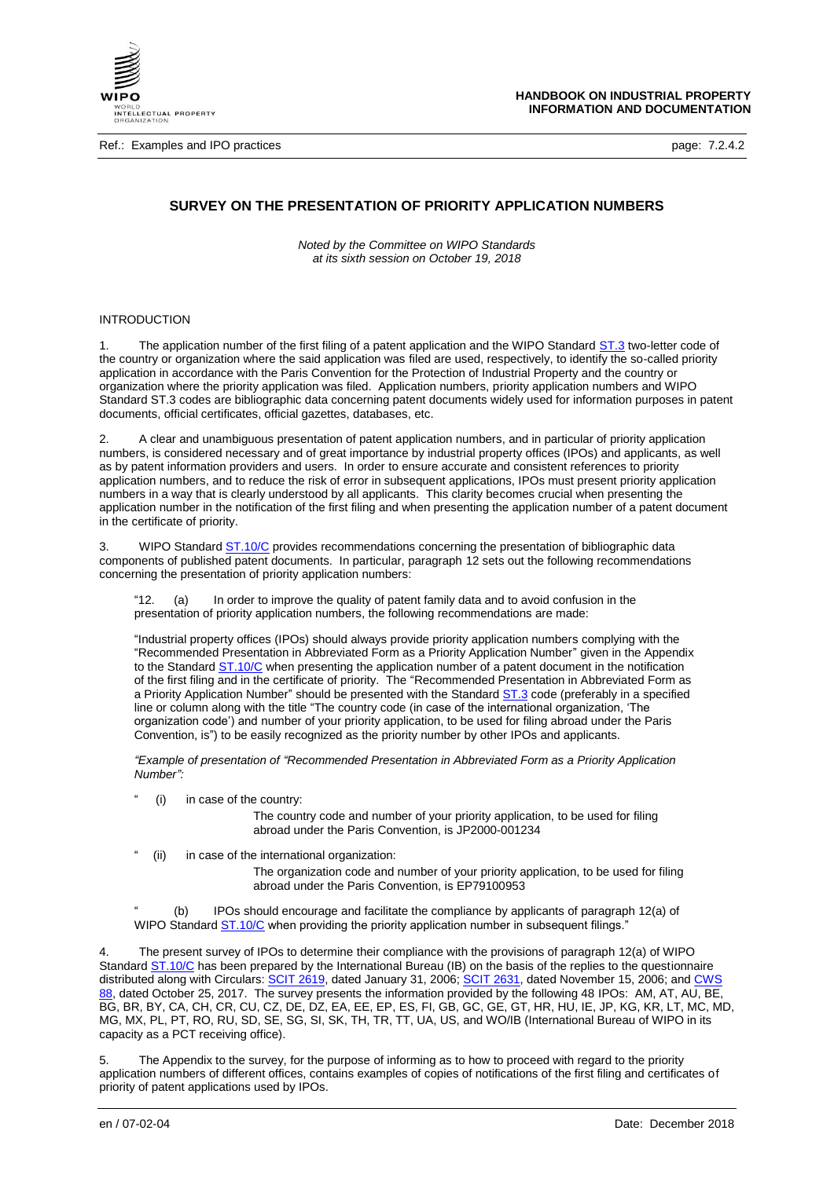

Ref.: Examples and IPO practices **page: 7.2.4.2** page: 7.2.4.2

# **SURVEY ON THE PRESENTATION OF PRIORITY APPLICATION NUMBERS**

*Noted by the Committee on WIPO Standards at its sixth session on October 19, 2018*

# **INTRODUCTION**

The application number of the first filing of a patent application and the WIPO Standard [ST.3](https://www.wipo.int/export/sites/www/standards/en/pdf/03-03-01.pdf) two-letter code of the country or organization where the said application was filed are used, respectively, to identify the so-called priority application in accordance with the Paris Convention for the Protection of Industrial Property and the country or organization where the priority application was filed. Application numbers, priority application numbers and WIPO Standard ST.3 codes are bibliographic data concerning patent documents widely used for information purposes in patent documents, official certificates, official gazettes, databases, etc.

2. A clear and unambiguous presentation of patent application numbers, and in particular of priority application numbers, is considered necessary and of great importance by industrial property offices (IPOs) and applicants, as well as by patent information providers and users. In order to ensure accurate and consistent references to priority application numbers, and to reduce the risk of error in subsequent applications, IPOs must present priority application numbers in a way that is clearly understood by all applicants. This clarity becomes crucial when presenting the application number in the notification of the first filing and when presenting the application number of a patent document in the certificate of priority.

3. WIPO Standard **ST.10/C** provides recommendations concerning the presentation of bibliographic data components of published patent documents. In particular, paragraph 12 sets out the following recommendations concerning the presentation of priority application numbers:

"12. (a) In order to improve the quality of patent family data and to avoid confusion in the presentation of priority application numbers, the following recommendations are made:

"Industrial property offices (IPOs) should always provide priority application numbers complying with the "Recommended Presentation in Abbreviated Form as a Priority Application Number" given in the Appendix to the Standard [ST.10/C](https://www.wipo.int/export/sites/www/standards/en/pdf/03-10-c.pdf) when presenting the application number of a patent document in the notification of the first filing and in the certificate of priority. The "Recommended Presentation in Abbreviated Form as a Priority Application Number" should be presented with the Standard [ST.3](https://www.wipo.int/export/sites/www/standards/en/pdf/03-03-01.pdf) code (preferably in a specified line or column along with the title "The country code (in case of the international organization, 'The organization code') and number of your priority application, to be used for filing abroad under the Paris Convention, is") to be easily recognized as the priority number by other IPOs and applicants.

*"Example of presentation of "Recommended Presentation in Abbreviated Form as a Priority Application Number":*

(i) in case of the country:

The country code and number of your priority application, to be used for filing abroad under the Paris Convention, is JP2000-001234

(ii) in case of the international organization:

The organization code and number of your priority application, to be used for filing abroad under the Paris Convention, is EP79100953

(b) IPOs should encourage and facilitate the compliance by applicants of paragraph 12(a) of WIPO Standard **ST.10/C** when providing the priority application number in subsequent filings."

The present survey of IPOs to determine their compliance with the provisions of paragraph 12(a) of WIPO Standard [ST.10/C](https://www.wipo.int/export/sites/www/standards/en/pdf/03-10-c.pdf) has been prepared by the International Bureau (IB) on the basis of the replies to the questionnaire distributed along with Circulars: SCIT [2619,](https://www.wipo.int/scit/en/mailbox/circ06.htm) dated January 31, 2006; SCIT [2631,](https://www.wipo.int/scit/en/mailbox/circ06.htm) dated November 15, 2006; and CWS [88,](https://www.wipo.int/export/sites/www/cws/en/circulars/2017/cws_88.pdf) dated October 25, 2017. The survey presents the information provided by the following 48 IPOs: AM, AT, AU, BE, BG, BR, BY, CA, CH, CR, CU, CZ, DE, DZ, EA, EE, EP, ES, FI, GB, GC, GE, GT, HR, HU, IE, JP, KG, KR, LT, MC, MD, MG, MX, PL, PT, RO, RU, SD, SE, SG, SI, SK, TH, TR, TT, UA, US, and WO/IB (International Bureau of WIPO in its capacity as a PCT receiving office).

The Appendix to the survey, for the purpose of informing as to how to proceed with regard to the priority application numbers of different offices, contains examples of copies of notifications of the first filing and certificates of priority of patent applications used by IPOs.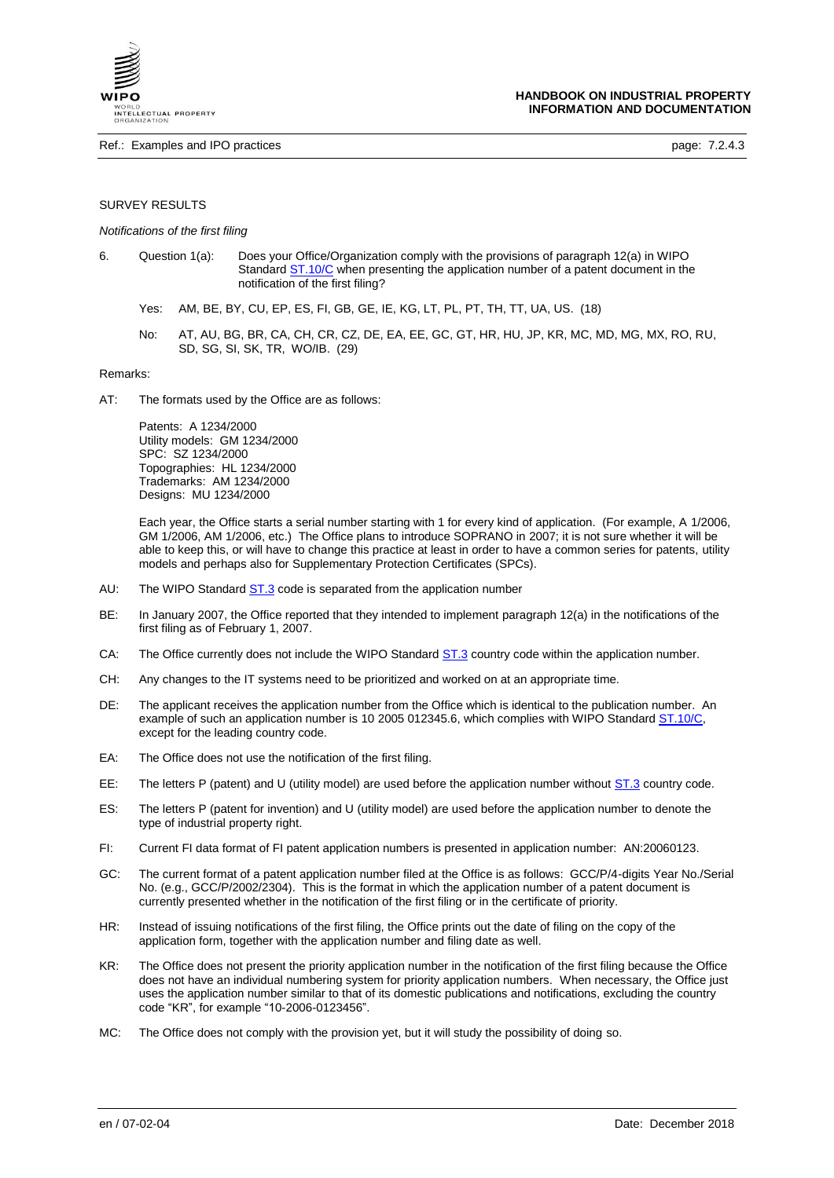

### SURVEY RESULTS

#### *Notifications of the first filing*

- 6. Question 1(a): Does your Office/Organization comply with the provisions of paragraph 12(a) in WIPO Standard [ST.10/C](https://www.wipo.int/export/sites/www/standards/en/pdf/03-10-c.pdf) when presenting the application number of a patent document in the notification of the first filing?
	- Yes: AM, BE, BY, CU, EP, ES, FI, GB, GE, IE, KG, LT, PL, PT, TH, TT, UA, US. (18)
	- No: AT, AU, BG, BR, CA, CH, CR, CZ, DE, EA, EE, GC, GT, HR, HU, JP, KR, MC, MD, MG, MX, RO, RU, SD, SG, SI, SK, TR, WO/IB. (29)

Remarks:

AT: The formats used by the Office are as follows:

Patents: A 1234/2000 Utility models: GM 1234/2000 SPC: SZ 1234/2000 Topographies: HL 1234/2000 Trademarks: AM 1234/2000 Designs: MU 1234/2000

Each year, the Office starts a serial number starting with 1 for every kind of application. (For example, A 1/2006, GM 1/2006, AM 1/2006, etc.) The Office plans to introduce SOPRANO in 2007; it is not sure whether it will be able to keep this, or will have to change this practice at least in order to have a common series for patents, utility models and perhaps also for Supplementary Protection Certificates (SPCs).

- AU: The WIPO Standard [ST.3](https://www.wipo.int/export/sites/www/standards/en/pdf/03-03-01.pdf) code is separated from the application number
- BE: In January 2007, the Office reported that they intended to implement paragraph 12(a) in the notifications of the first filing as of February 1, 2007.
- CA: The Office currently does not include the WIPO Standard [ST.3](https://www.wipo.int/export/sites/www/standards/en/pdf/03-03-01.pdf) country code within the application number.
- CH: Any changes to the IT systems need to be prioritized and worked on at an appropriate time.
- DE: The applicant receives the application number from the Office which is identical to the publication number. An example of such an application number is 10 2005 012345.6, which complies with WIPO Standar[d ST.10/C,](https://www.wipo.int/export/sites/www/standards/en/pdf/03-10-c.pdf) except for the leading country code.
- EA: The Office does not use the notification of the first filing.
- EE: The letters P (patent) and U (utility model) are used before the application number without [ST.3](https://www.wipo.int/export/sites/www/standards/en/pdf/03-03-01.pdf) country code.
- ES: The letters P (patent for invention) and U (utility model) are used before the application number to denote the type of industrial property right.
- FI: Current FI data format of FI patent application numbers is presented in application number: AN:20060123.
- GC: The current format of a patent application number filed at the Office is as follows: GCC/P/4-digits Year No./Serial No. (e.g., GCC/P/2002/2304). This is the format in which the application number of a patent document is currently presented whether in the notification of the first filing or in the certificate of priority.
- HR: Instead of issuing notifications of the first filing, the Office prints out the date of filing on the copy of the application form, together with the application number and filing date as well.
- KR: The Office does not present the priority application number in the notification of the first filing because the Office does not have an individual numbering system for priority application numbers. When necessary, the Office just uses the application number similar to that of its domestic publications and notifications, excluding the country code "KR", for example "10-2006-0123456".
- MC: The Office does not comply with the provision yet, but it will study the possibility of doing so.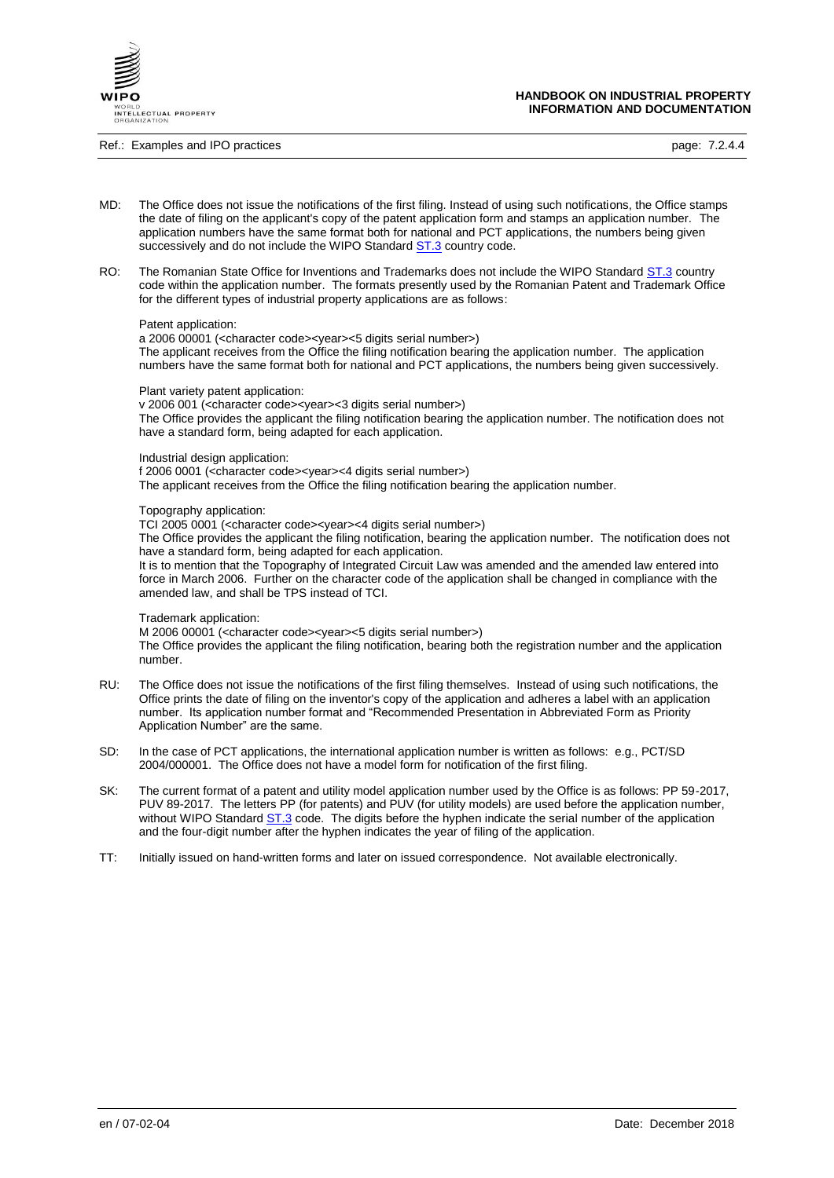

Ref.: Examples and IPO practices **page: 7.2.4.4** 

**HANDBOOK ON INDUSTRIAL PROPERTY INFORMATION AND DOCUMENTATION**

- MD: The Office does not issue the notifications of the first filing. Instead of using such notifications, the Office stamps the date of filing on the applicant's copy of the patent application form and stamps an application number. The application numbers have the same format both for national and PCT applications, the numbers being given successively and do not include the WIPO Standard **ST.3** country code.
- RO: The Romanian State Office for Inventions and Trademarks does not include the WIPO Standard [ST.3](https://www.wipo.int/export/sites/www/standards/en/pdf/03-03-01.pdf) country code within the application number. The formats presently used by the Romanian Patent and Trademark Office for the different types of industrial property applications are as follows:

#### Patent application:

a 2006 00001 (<character code><year><5 digits serial number>) The applicant receives from the Office the filing notification bearing the application number. The application numbers have the same format both for national and PCT applications, the numbers being given successively.

#### Plant variety patent application:

v 2006 001 (<character code><year><3 digits serial number>) The Office provides the applicant the filing notification bearing the application number. The notification does not have a standard form, being adapted for each application.

#### Industrial design application:

f 2006 0001 (<character code><year><4 digits serial number>) The applicant receives from the Office the filing notification bearing the application number.

#### Topography application:

TCI 2005 0001 (<character code><year><4 digits serial number>)

The Office provides the applicant the filing notification, bearing the application number. The notification does not have a standard form, being adapted for each application.

It is to mention that the Topography of Integrated Circuit Law was amended and the amended law entered into force in March 2006. Further on the character code of the application shall be changed in compliance with the amended law, and shall be TPS instead of TCI.

#### Trademark application:

M 2006 00001 (<character code><year><5 digits serial number>) The Office provides the applicant the filing notification, bearing both the registration number and the application number.

- RU: The Office does not issue the notifications of the first filing themselves. Instead of using such notifications, the Office prints the date of filing on the inventor's copy of the application and adheres a label with an application number. Its application number format and "Recommended Presentation in Abbreviated Form as Priority Application Number" are the same.
- SD: In the case of PCT applications, the international application number is written as follows: e.g., PCT/SD 2004/000001. The Office does not have a model form for notification of the first filing.
- SK: The current format of a patent and utility model application number used by the Office is as follows: PP 59-2017, PUV 89-2017. The letters PP (for patents) and PUV (for utility models) are used before the application number, without WIPO Standard **ST.3** code. The digits before the hyphen indicate the serial number of the application and the four-digit number after the hyphen indicates the year of filing of the application.
- TT: Initially issued on hand-written forms and later on issued correspondence. Not available electronically.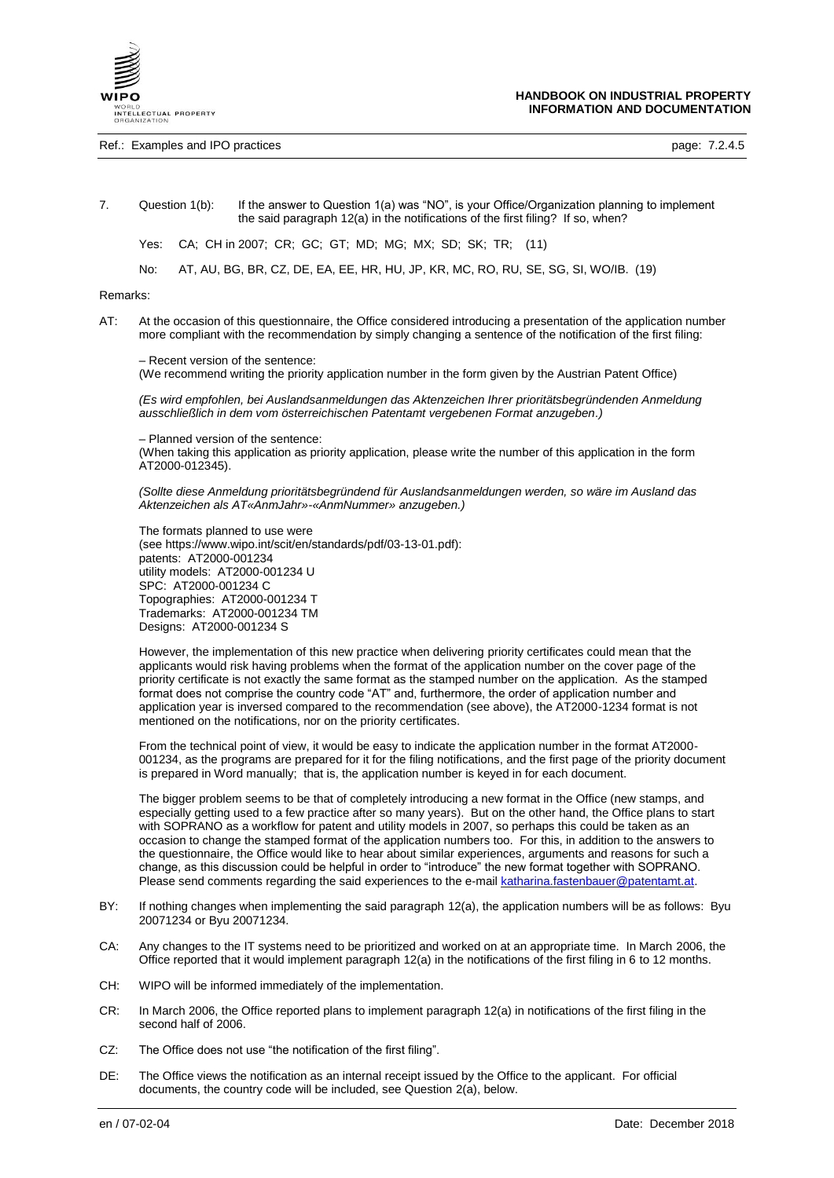

Ref.: Examples and IPO practices **page: 7.2.4.5** page: 7.2.4.5

7. Question 1(b): If the answer to Question 1(a) was "NO", is your Office/Organization planning to implement the said paragraph 12(a) in the notifications of the first filing? If so, when?

Yes: CA; CH in 2007; CR; GC; GT; MD; MG; MX; SD; SK; TR; (11)

No: AT, AU, BG, BR, CZ, DE, EA, EE, HR, HU, JP, KR, MC, RO, RU, SE, SG, SI, WO/IB. (19)

Remarks:

AT: At the occasion of this questionnaire, the Office considered introducing a presentation of the application number more compliant with the recommendation by simply changing a sentence of the notification of the first filing:

– Recent version of the sentence:

(We recommend writing the priority application number in the form given by the Austrian Patent Office)

*(Es wird empfohlen, bei Auslandsanmeldungen das Aktenzeichen Ihrer prioritätsbegründenden Anmeldung ausschließlich in dem vom österreichischen Patentamt vergebenen Format anzugeben.)*

– Planned version of the sentence:

(When taking this application as priority application, please write the number of this application in the form AT2000-012345).

*(Sollte diese Anmeldung prioritätsbegründend für Auslandsanmeldungen werden, so wäre im Ausland das Aktenzeichen als AT«AnmJahr»-«AnmNummer» anzugeben.)*

The formats planned to use were (see https://www.wipo.int/scit/en/standards/pdf/03-13-01.pdf): patents: AT2000-001234 utility models: AT2000-001234 U SPC: AT2000-001234 C Topographies: AT2000-001234 T Trademarks: AT2000-001234 TM Designs: AT2000-001234 S

However, the implementation of this new practice when delivering priority certificates could mean that the applicants would risk having problems when the format of the application number on the cover page of the priority certificate is not exactly the same format as the stamped number on the application. As the stamped format does not comprise the country code "AT" and, furthermore, the order of application number and application year is inversed compared to the recommendation (see above), the AT2000-1234 format is not mentioned on the notifications, nor on the priority certificates.

From the technical point of view, it would be easy to indicate the application number in the format AT2000- 001234, as the programs are prepared for it for the filing notifications, and the first page of the priority document is prepared in Word manually; that is, the application number is keyed in for each document.

The bigger problem seems to be that of completely introducing a new format in the Office (new stamps, and especially getting used to a few practice after so many years). But on the other hand, the Office plans to start with SOPRANO as a workflow for patent and utility models in 2007, so perhaps this could be taken as an occasion to change the stamped format of the application numbers too. For this, in addition to the answers to the questionnaire, the Office would like to hear about similar experiences, arguments and reasons for such a change, as this discussion could be helpful in order to "introduce" the new format together with SOPRANO. Please send comments regarding the said experiences to the e-mai[l katharina.fastenbauer@patentamt.at.](mailto:katharina.fastenbauer@patentamt.at)

- BY: If nothing changes when implementing the said paragraph 12(a), the application numbers will be as follows: Byu 20071234 or Byu 20071234.
- CA: Any changes to the IT systems need to be prioritized and worked on at an appropriate time. In March 2006, the Office reported that it would implement paragraph 12(a) in the notifications of the first filing in 6 to 12 months.
- CH: WIPO will be informed immediately of the implementation.
- CR: In March 2006, the Office reported plans to implement paragraph 12(a) in notifications of the first filing in the second half of 2006.
- CZ: The Office does not use "the notification of the first filing".
- DE: The Office views the notification as an internal receipt issued by the Office to the applicant. For official documents, the country code will be included, see Question 2(a), below.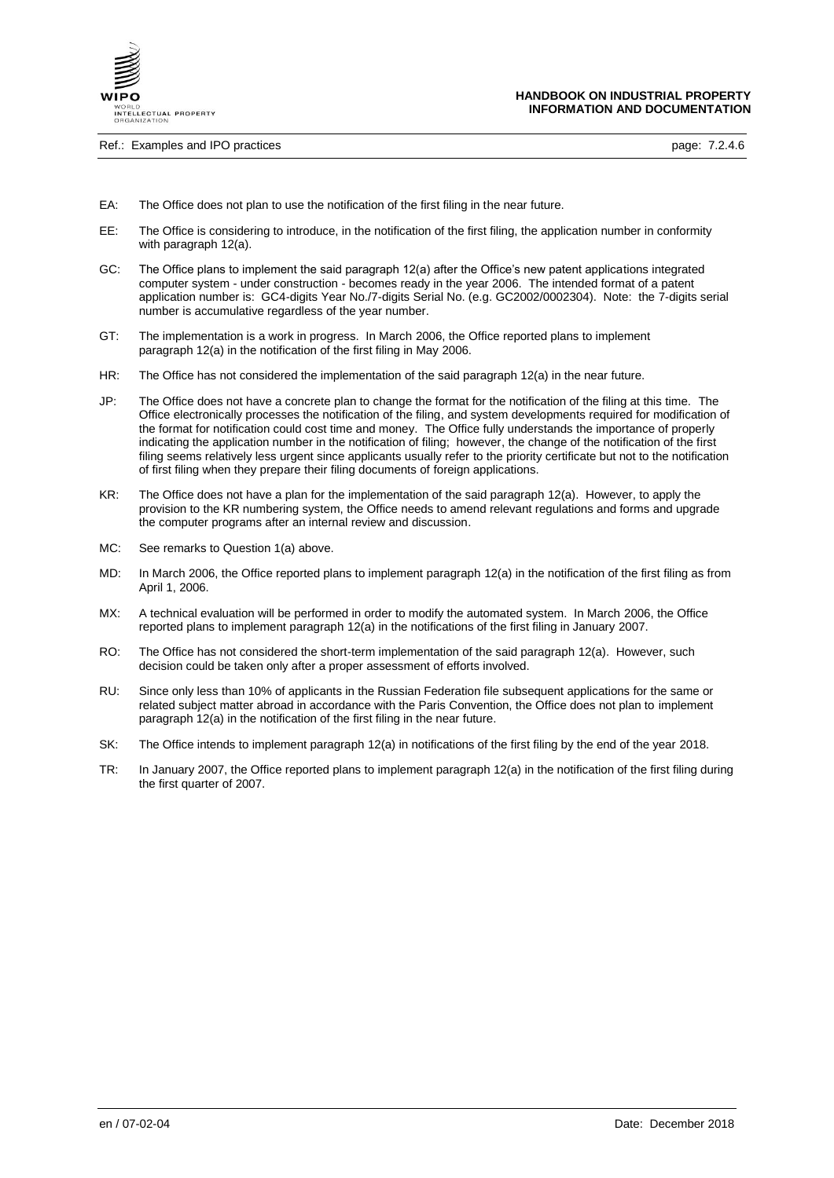

Ref.: Examples and IPO practices **page: 7.2.4.6** page: 7.2.4.6

- EA: The Office does not plan to use the notification of the first filing in the near future.
- EE: The Office is considering to introduce, in the notification of the first filing, the application number in conformity with paragraph 12(a).
- GC: The Office plans to implement the said paragraph 12(a) after the Office's new patent applications integrated computer system - under construction - becomes ready in the year 2006. The intended format of a patent application number is: GC4-digits Year No./7-digits Serial No. (e.g. GC2002/0002304). Note: the 7-digits serial number is accumulative regardless of the year number.
- GT: The implementation is a work in progress. In March 2006, the Office reported plans to implement paragraph 12(a) in the notification of the first filing in May 2006.
- HR: The Office has not considered the implementation of the said paragraph 12(a) in the near future.
- JP: The Office does not have a concrete plan to change the format for the notification of the filing at this time. The Office electronically processes the notification of the filing, and system developments required for modification of the format for notification could cost time and money. The Office fully understands the importance of properly indicating the application number in the notification of filing; however, the change of the notification of the first filing seems relatively less urgent since applicants usually refer to the priority certificate but not to the notification of first filing when they prepare their filing documents of foreign applications.
- KR: The Office does not have a plan for the implementation of the said paragraph 12(a). However, to apply the provision to the KR numbering system, the Office needs to amend relevant regulations and forms and upgrade the computer programs after an internal review and discussion.
- MC: See remarks to Question 1(a) above.
- MD: In March 2006, the Office reported plans to implement paragraph 12(a) in the notification of the first filing as from April 1, 2006.
- MX: A technical evaluation will be performed in order to modify the automated system. In March 2006, the Office reported plans to implement paragraph 12(a) in the notifications of the first filing in January 2007.
- RO: The Office has not considered the short-term implementation of the said paragraph 12(a). However, such decision could be taken only after a proper assessment of efforts involved.
- RU: Since only less than 10% of applicants in the Russian Federation file subsequent applications for the same or related subject matter abroad in accordance with the Paris Convention, the Office does not plan to implement paragraph 12(a) in the notification of the first filing in the near future.
- SK: The Office intends to implement paragraph 12(a) in notifications of the first filing by the end of the year 2018.
- TR: In January 2007, the Office reported plans to implement paragraph 12(a) in the notification of the first filing during the first quarter of 2007.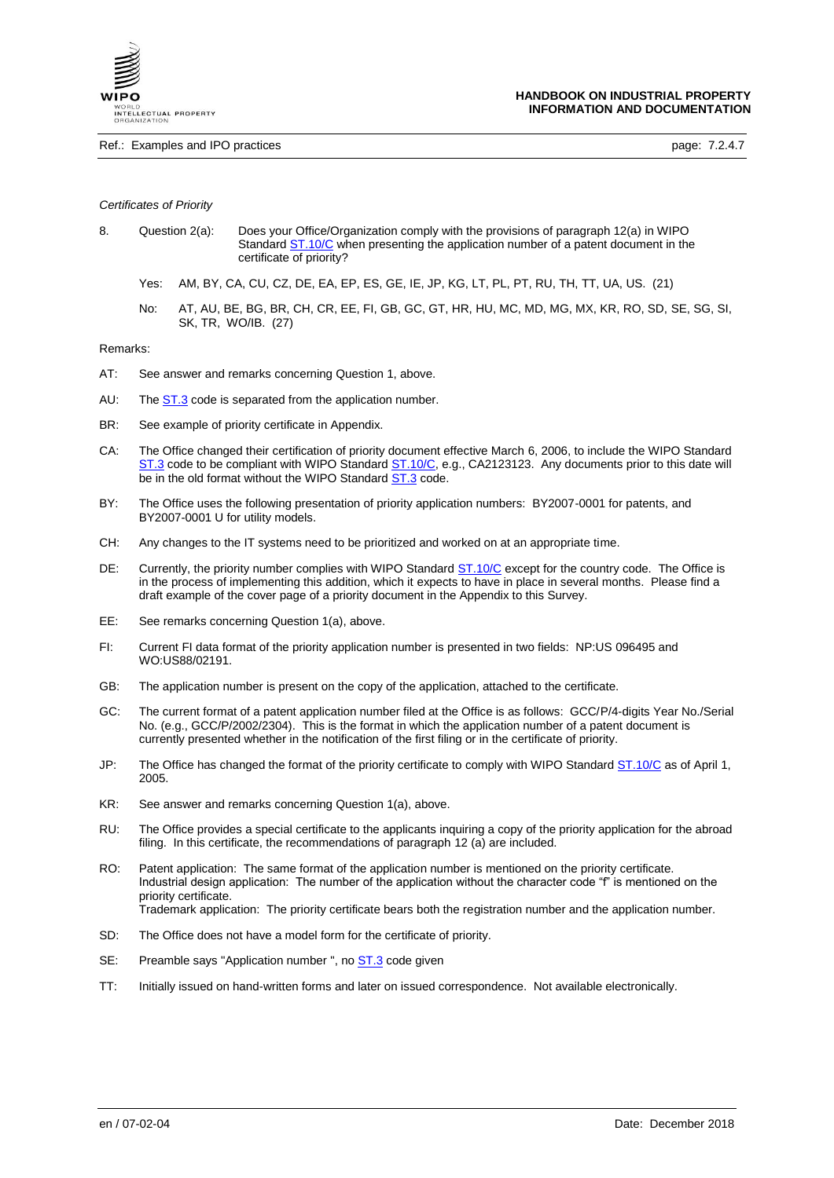

### *Certificates of Priority*

- 8. Question 2(a): Does your Office/Organization comply with the provisions of paragraph 12(a) in WIPO Standard [ST.10/C](https://www.wipo.int/export/sites/www/standards/en/pdf/03-10-c.pdf) when presenting the application number of a patent document in the certificate of priority?
	- Yes: AM, BY, CA, CU, CZ, DE, EA, EP, ES, GE, IE, JP, KG, LT, PL, PT, RU, TH, TT, UA, US. (21)
	- No: AT, AU, BE, BG, BR, CH, CR, EE, FI, GB, GC, GT, HR, HU, MC, MD, MG, MX, KR, RO, SD, SE, SG, SI, SK, TR, WO/IB. (27)

Remarks:

- AT: See answer and remarks concerning Question 1, above.
- AU: The **ST.3** code is separated from the application number.
- BR: See example of priority certificate in Appendix.
- CA: The Office changed their certification of priority document effective March 6, 2006, to include the WIPO Standard [ST.3](https://www.wipo.int/export/sites/www/standards/en/pdf/03-03-01.pdf) code to be compliant with WIPO Standar[d ST.10/C,](https://www.wipo.int/export/sites/www/standards/en/pdf/03-10-c.pdf) e.g., CA2123123. Any documents prior to this date will be in the old format without the WIPO Standard **ST.3** code.
- BY: The Office uses the following presentation of priority application numbers: BY2007-0001 for patents, and BY2007-0001 U for utility models.
- CH: Any changes to the IT systems need to be prioritized and worked on at an appropriate time.
- DE: Currently, the priority number complies with WIPO Standard [ST.10/C](https://www.wipo.int/export/sites/www/standards/en/pdf/03-10-c.pdf) except for the country code. The Office is in the process of implementing this addition, which it expects to have in place in several months. Please find a draft example of the cover page of a priority document in the Appendix to this Survey.
- EE: See remarks concerning Question 1(a), above.
- FI: Current FI data format of the priority application number is presented in two fields: NP:US 096495 and WO:US88/02191.
- GB: The application number is present on the copy of the application, attached to the certificate.
- GC: The current format of a patent application number filed at the Office is as follows: GCC/P/4-digits Year No./Serial No. (e.g., GCC/P/2002/2304). This is the format in which the application number of a patent document is currently presented whether in the notification of the first filing or in the certificate of priority.
- JP: The Office has changed the format of the priority certificate to comply with WIPO Standard [ST.10/C](https://www.wipo.int/export/sites/www/standards/en/pdf/03-10-c.pdf) as of April 1, 2005.
- KR: See answer and remarks concerning Question 1(a), above.
- RU: The Office provides a special certificate to the applicants inquiring a copy of the priority application for the abroad filing. In this certificate, the recommendations of paragraph 12 (a) are included.
- RO: Patent application: The same format of the application number is mentioned on the priority certificate. Industrial design application: The number of the application without the character code "f" is mentioned on the priority certificate. Trademark application: The priority certificate bears both the registration number and the application number.
- SD: The Office does not have a model form for the certificate of priority.
- SE: Preamble says "Application number ", no **ST.3** code given
- TT: Initially issued on hand-written forms and later on issued correspondence. Not available electronically.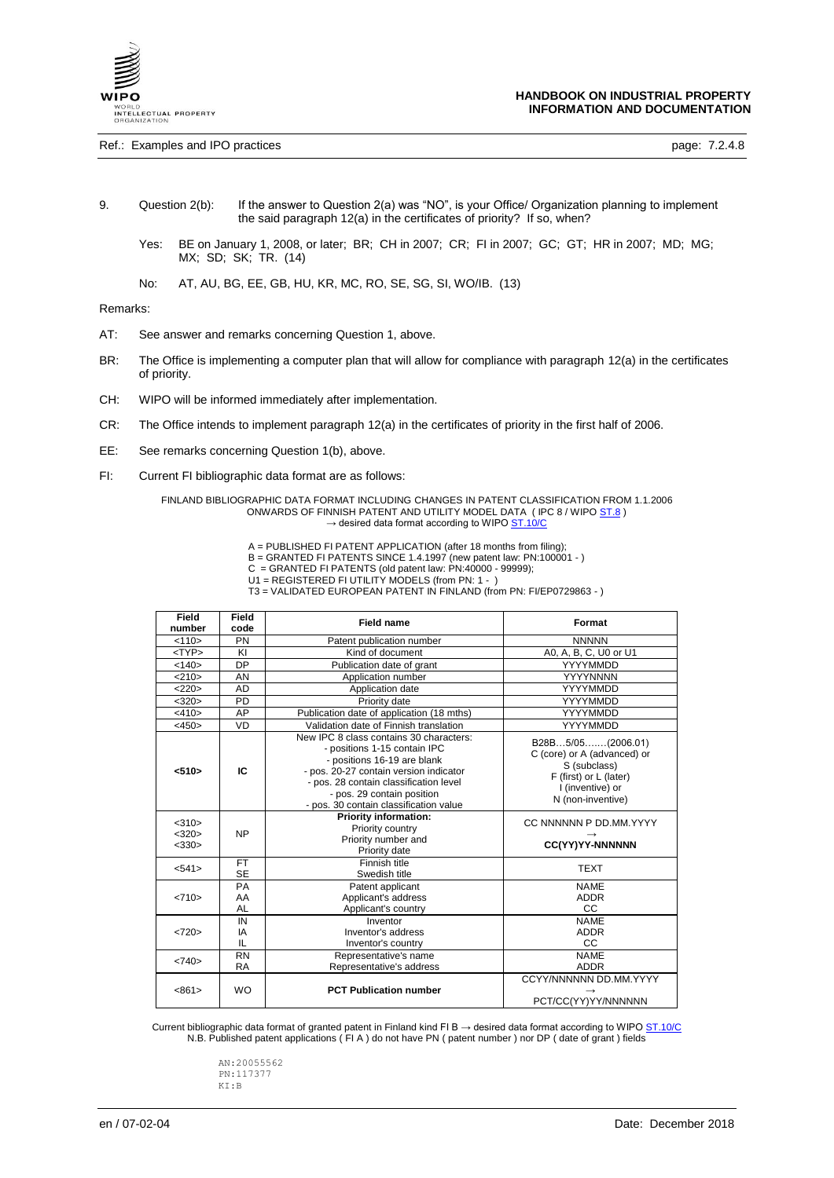

Ref.: Examples and IPO practices **page: 7.2.4.8** page: 7.2.4.8

- 9. Question 2(b): If the answer to Question 2(a) was "NO", is your Office/ Organization planning to implement the said paragraph 12(a) in the certificates of priority? If so, when?
	- Yes: BE on January 1, 2008, or later; BR; CH in 2007; CR; FI in 2007; GC; GT; HR in 2007; MD; MG; MX; SD; SK; TR. (14)
	- No: AT, AU, BG, EE, GB, HU, KR, MC, RO, SE, SG, SI, WO/IB. (13)

#### Remarks:

- AT: See answer and remarks concerning Question 1, above.
- BR: The Office is implementing a computer plan that will allow for compliance with paragraph 12(a) in the certificates of priority.
- CH: WIPO will be informed immediately after implementation.
- CR: The Office intends to implement paragraph 12(a) in the certificates of priority in the first half of 2006.
- EE: See remarks concerning Question 1(b), above.
- FI: Current FI bibliographic data format are as follows:

FINLAND BIBLIOGRAPHIC DATA FORMAT INCLUDING CHANGES IN PATENT CLASSIFICATION FROM 1.1.2006 ONWARDS OF FINNISH PATENT AND UTILITY MODEL DATA (IPC 8 / WIP[O ST.8](https://www.wipo.int/export/sites/www/standards/en/pdf/03-08-01.pdf))  $\rightarrow$  desired data format according to WIP[O ST.10/C](https://www.wipo.int/export/sites/www/standards/en/pdf/03-10-c.pdf)

A = PUBLISHED FI PATENT APPLICATION (after 18 months from filing);

- B = GRANTED FI PATENTS SINCE 1.4.1997 (new patent law: PN:100001 )
- C = GRANTED FI PATENTS (old patent law: PN:40000 99999);
- U1 = REGISTERED FI UTILITY MODELS (from PN: 1 )
- T3 = VALIDATED EUROPEAN PATENT IN FINLAND (from PN: FI/EP0729863 )

| Field<br>number                     | Field<br>code          | <b>Field name</b>                                                                                                                                                                                                                                                  | Format                                                                                                                              |
|-------------------------------------|------------------------|--------------------------------------------------------------------------------------------------------------------------------------------------------------------------------------------------------------------------------------------------------------------|-------------------------------------------------------------------------------------------------------------------------------------|
| < 110                               | PN                     | Patent publication number                                                                                                                                                                                                                                          | <b>NNNNN</b>                                                                                                                        |
| $<$ TYP $>$                         | KI                     | Kind of document                                                                                                                                                                                                                                                   | A0, A, B, C, U0 or U1                                                                                                               |
| <140>                               | <b>DP</b>              | Publication date of grant                                                                                                                                                                                                                                          | YYYYMMDD                                                                                                                            |
| <210>                               | AN                     | Application number                                                                                                                                                                                                                                                 | <b>YYYYNNNN</b>                                                                                                                     |
| <220>                               | <b>AD</b>              | Application date                                                                                                                                                                                                                                                   | YYYYMMDD                                                                                                                            |
| <320>                               | PD                     | Priority date                                                                                                                                                                                                                                                      | YYYYMMDD                                                                                                                            |
| $<$ 410>                            | AP                     | Publication date of application (18 mths)                                                                                                                                                                                                                          | YYYYMMDD                                                                                                                            |
| <450>                               | VD                     | Validation date of Finnish translation                                                                                                                                                                                                                             | YYYYMMDD                                                                                                                            |
| $510$                               | IC                     | New IPC 8 class contains 30 characters:<br>- positions 1-15 contain IPC<br>- positions 16-19 are blank<br>- pos. 20-27 contain version indicator<br>- pos. 28 contain classification level<br>- pos. 29 contain position<br>- pos. 30 contain classification value | B28B5/05(2006.01)<br>C (core) or A (advanced) or<br>S (subclass)<br>F (first) or L (later)<br>I (inventive) or<br>N (non-inventive) |
| $<$ 310 $>$<br><320><br>$<$ 330 $>$ | <b>NP</b>              | <b>Priority information:</b><br>Priority country<br>Priority number and<br>Priority date                                                                                                                                                                           | CC NNNNNN P DD.MM.YYYY<br>CC(YY)YY-NNNNNN                                                                                           |
| < 541                               | <b>FT</b><br><b>SE</b> | Finnish title<br>Swedish title                                                                                                                                                                                                                                     | <b>TEXT</b>                                                                                                                         |
| <710>                               | PA<br>AA<br><b>AL</b>  | Patent applicant<br>Applicant's address<br>Applicant's country                                                                                                                                                                                                     | <b>NAME</b><br><b>ADDR</b><br>CC                                                                                                    |
| <720>                               | IN<br>IA<br>IL         | Inventor<br>Inventor's address<br>Inventor's country                                                                                                                                                                                                               | <b>NAME</b><br><b>ADDR</b><br>CC                                                                                                    |
| <740>                               | <b>RN</b><br><b>RA</b> | Representative's name<br>Representative's address                                                                                                                                                                                                                  | <b>NAME</b><br><b>ADDR</b>                                                                                                          |
| <861>                               | <b>WO</b>              | <b>PCT Publication number</b>                                                                                                                                                                                                                                      | CCYY/NNNNNN DD.MM.YYYY<br>PCT/CC(YY)YY/NNNNNN                                                                                       |

Current bibliographic data format of granted patent in Finland kind FI B  $\rightarrow$  desired data format according to WIPO  $S$ T.10/C N.B. Published patent applications ( FI A ) do not have PN ( patent number ) nor DP ( date of grant ) fields

> AN:20055562 PN:117377 KI:B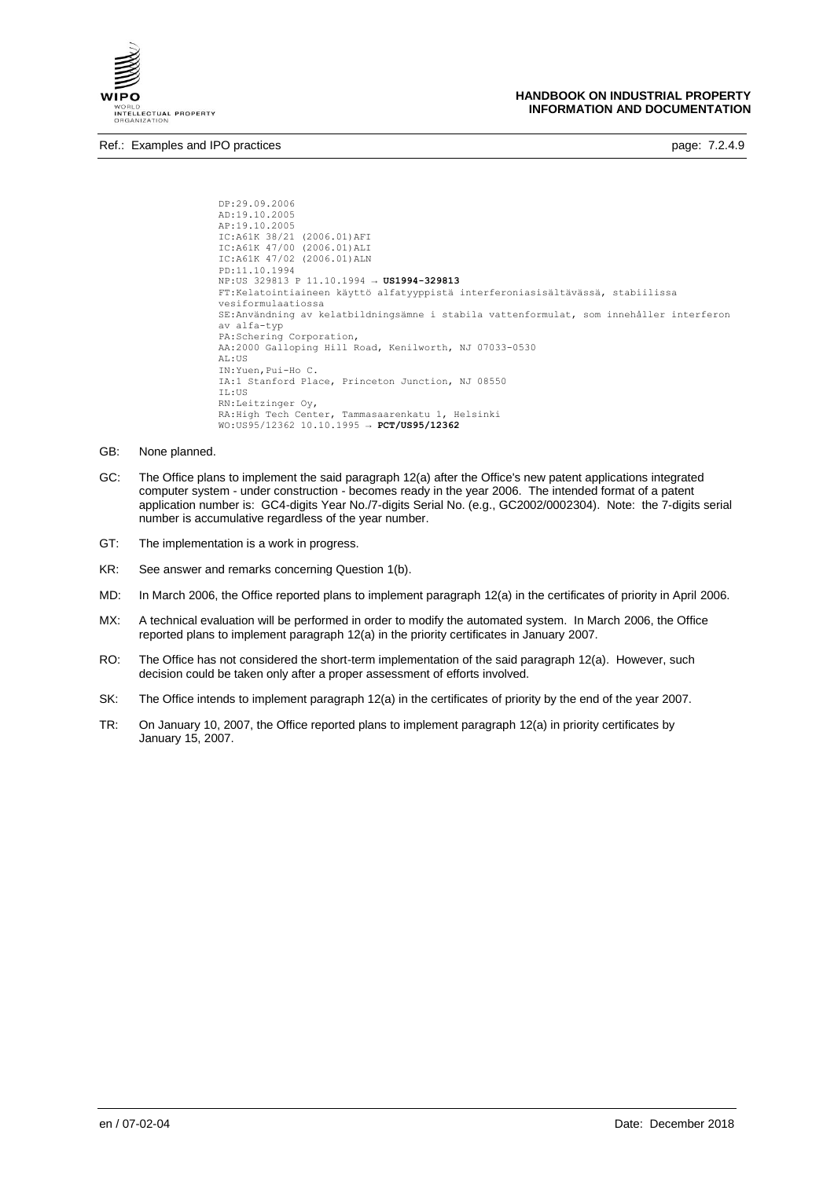

Ref.: Examples and IPO practices **page: 7.2.4.9** page: 7.2.4.9

```
DP:29.09.2006 
AD:19.10.2005 
AP:19.10.2005 
IC:A61K 38/21 (2006.01)AFI
IC:A61K 47/00 (2006.01)ALI
IC:A61K 47/02 (2006.01)ALN
PD:11.10.1994
NP:US 329813 P 11.10.1994 → US1994-329813
FT:Kelatointiaineen käyttö alfatyyppistä interferoniasisältävässä, stabiilissa 
vesiformulaatiossa
SE:Användning av kelatbildningsämne i stabila vattenformulat, som innehåller interferon 
av alfa-typ
PA:Schering Corporation,
AA:2000 Galloping Hill Road, Kenilworth, NJ 07033-0530
AL:US 
IN:Yuen,Pui-Ho C.
IA:1 Stanford Place, Princeton Junction, NJ 08550
IL:US 
RN:Leitzinger Oy,
RA:High Tech Center, Tammasaarenkatu 1, Helsinki
WO:US95/12362 10.10.1995 → PCT/US95/12362
```
- GB: None planned.
- GC: The Office plans to implement the said paragraph 12(a) after the Office's new patent applications integrated computer system - under construction - becomes ready in the year 2006. The intended format of a patent application number is: GC4-digits Year No./7-digits Serial No. (e.g., GC2002/0002304). Note: the 7-digits serial number is accumulative regardless of the year number.
- GT: The implementation is a work in progress.
- KR: See answer and remarks concerning Question 1(b).
- MD: In March 2006, the Office reported plans to implement paragraph 12(a) in the certificates of priority in April 2006.
- MX: A technical evaluation will be performed in order to modify the automated system. In March 2006, the Office reported plans to implement paragraph 12(a) in the priority certificates in January 2007.
- RO: The Office has not considered the short-term implementation of the said paragraph 12(a). However, such decision could be taken only after a proper assessment of efforts involved.
- SK: The Office intends to implement paragraph 12(a) in the certificates of priority by the end of the year 2007.
- TR: On January 10, 2007, the Office reported plans to implement paragraph 12(a) in priority certificates by January 15, 2007.